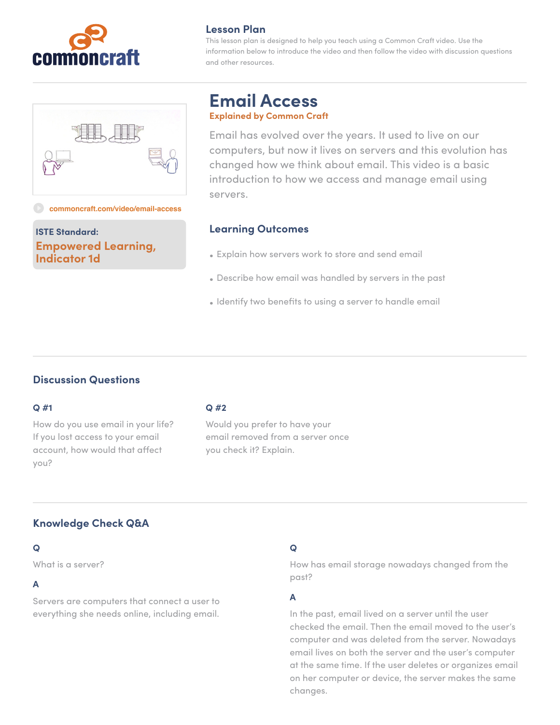



This lesson plan is designed to help you teach using a Common Craft video. Use the information below to introduce the video and then follow the video with discussion questions and other resources.



#### **[commoncraft.com/video/email-access](http://commoncraft.com/video/wikis)**

**ISTE Standard: Empowered Learning, Indicator 1d**

# **Email Access Explained by Common Craft**

Email has evolved over the years. It used to live on our computers, but now it lives on servers and this evolution has changed how we think about email. This video is a basic introduction to how we access and manage email using servers.

#### **Learning Outcomes**

- Explain how servers work to store and send email
- Describe how email was handled by servers in the past
- Identify two benefits to using a server to handle email

### **Discussion Questions**

#### **Q #1**

How do you use email in your life? If you lost access to your email account, how would that affect you?

#### **Q #2**

Would you prefer to have your email removed from a server once you check it? Explain.

## **Knowledge Check Q&A**

### **Q**

What is a server?

### **A**

Servers are computers that connect a user to everything she needs online, including email.

#### **Q**

How has email storage nowadays changed from the past?

### **A**

In the past, email lived on a server until the user checked the email. Then the email moved to the user's computer and was deleted from the server. Nowadays email lives on both the server and the user's computer at the same time. If the user deletes or organizes email on her computer or device, the server makes the same changes.